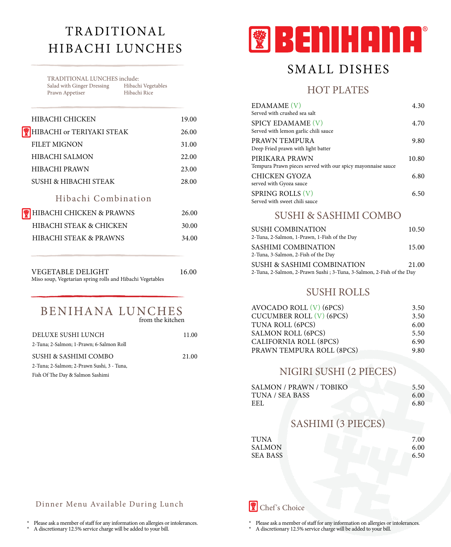# TRADITIONAL HIBACHI LUNCHES

TRADITIONAL LUNCHES include:<br>Salad with Ginger Dressing Hibachi Vegetables Salad with Ginger Dressing Hibachi Vege<br>Prawn Appetiser Hibachi Rice Prawn Appetiser

| HIBACHI CHICKEN                   | 19.00 |
|-----------------------------------|-------|
| HIBACHI or TERIYAKI STEAK         | 26.00 |
| <b>FILET MIGNON</b>               | 31.00 |
| HIBACHI SALMON                    | 22.00 |
| <b>HIBACHI PRAWN</b>              | 23.00 |
| SUSHI & HIBACHI STEAK             | 28.00 |
| Hibachi Combination               |       |
| HIBACHI CHICKEN & PRAWNS          | 26.00 |
| HIBACHI STEAK & CHICKEN           | 30.00 |
| <b>HIBACHI STEAK &amp; PRAWNS</b> | 34.00 |
|                                   |       |
|                                   |       |
|                                   |       |

VEGETABLE DELIGHT 16.00 Miso soup, Vegetarian spring rolls and Hibachi Vegetables

#### BENIHANA LUNCHES from the kitchen

| DELUXE SUSHI LUNCH                         | 11.00 |
|--------------------------------------------|-------|
| 2-Tuna; 2-Salmon; 1-Prawn; 6-Salmon Roll   |       |
| SUSHI & SASHIMI COMBO                      | 21.00 |
| 2-Tuna; 2-Salmon; 2-Prawn Sushi, 3 - Tuna, |       |
| Fish Of The Day & Salmon Sashimi           |       |



# SMALL DISHES

### HOT PLATES

| <b>EDAMAME</b> (V)<br>Served with crushed sea salt                            | 4.30  |
|-------------------------------------------------------------------------------|-------|
| SPICY EDAMAME (V)<br>Served with lemon garlic chili sauce                     | 4.70  |
| PRAWN TEMPURA<br>Deep Fried prawn with light batter                           | 9.80  |
| PIRIKARA PRAWN<br>Tempura Prawn pieces served with our spicy mayonnaise sauce | 10.80 |
| <b>CHICKEN GYOZA</b><br>served with Gyoza sauce                               | 6.80  |
| <b>SPRING ROLLS (V)</b><br>Served with sweet chili sauce                      | 6.50  |

## SUSHI & SASHIMI COMBO

| <b>SUSHI COMBINATION</b><br>2-Tuna, 2-Salmon, 1-Prawn, 1-Fish of the Day                            | 10.50 |
|-----------------------------------------------------------------------------------------------------|-------|
| SASHIMI COMBINATION<br>2-Tuna, 3-Salmon, 2-Fish of the Day                                          | 15.00 |
| SUSHI & SASHIMI COMBINATION<br>2-Tuna, 2-Salmon, 2-Prawn Sushi; 3-Tuna, 3-Salmon, 2-Fish of the Day | 21.00 |

### SUSHI ROLLS

| AVOCADO ROLL $(V)$ (6PCS)       | 3.50 |
|---------------------------------|------|
| <b>CUCUMBER ROLL (V) (6PCS)</b> | 3.50 |
| TUNA ROLL (6PCS)                | 6.00 |
| <b>SALMON ROLL (6PCS)</b>       | 5.50 |
| <b>CALIFORNIA ROLL (8PCS)</b>   | 6.90 |
| PRAWN TEMPURA ROLL (8PCS)       | 9.80 |

## NIGIRI SUSHI (2 PIECES)

| <b>SALMON / PRAWN / TOBIKO</b> | 5.50 |
|--------------------------------|------|
| TUNA / SEA BASS                | 6.00 |
| EEL.                           | 6.80 |

## SASHIMI (3 PIECES)

| TUNA            | 7.00 |
|-----------------|------|
| SALMON          | 6.00 |
| <b>SEA BASS</b> | 6.50 |

#### Dinner Menu Available During Lunch

Please ask a member of staff for any information on allergies or intolerances.

A discretionary 12.5% service charge will be added to your bill.

Chef 's Choice

\* Please ask a member of staff for any information on allergies or intolerances.

A discretionary 12.5% service charge will be added to your bill.